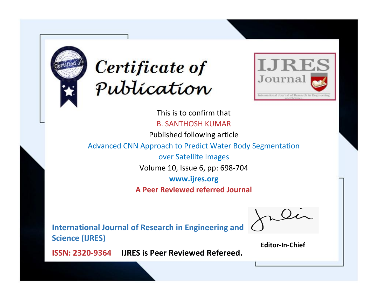



This is to confirm that B. SANTHOSH KUMAR Published following article Advanced CNN Approach to Predict Water Body Segmentation over Satellite Images Volume 10, Issue 6, pp: 698-704 **www.ijres.org A Peer Reviewed referred Journal**

**International Journal of Research in Engineering and Science (IJRES)**

\_\_\_\_\_\_\_\_\_\_\_\_\_\_\_\_\_\_\_\_\_\_\_\_ **Editor-In-Chief**

**Journal.**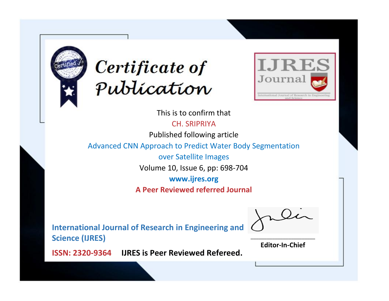



This is to confirm that

CH. SRIPRIYA

Published following article

Advanced CNN Approach to Predict Water Body Segmentation

over Satellite Images

Volume 10, Issue 6, pp: 698-704

**www.ijres.org**

**A Peer Reviewed referred Journal**

**International Journal of Research in Engineering and Science (IJRES)**

\_\_\_\_\_\_\_\_\_\_\_\_\_\_\_\_\_\_\_\_\_\_\_\_ **Editor-In-Chief**

**Journal.**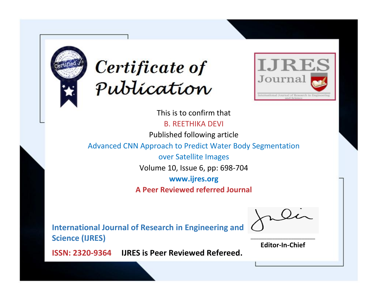



This is to confirm that B. REETHIKA DEVI Published following article Advanced CNN Approach to Predict Water Body Segmentation over Satellite Images Volume 10, Issue 6, pp: 698-704 **www.ijres.org A Peer Reviewed referred Journal**

**International Journal of Research in Engineering and Science (IJRES)**

\_\_\_\_\_\_\_\_\_\_\_\_\_\_\_\_\_\_\_\_\_\_\_\_ **Editor-In-Chief**

**Journal.**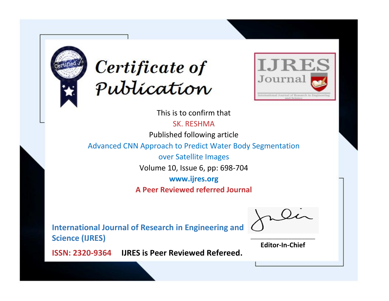



This is to confirm that SK. RESHMA

Published following article

Advanced CNN Approach to Predict Water Body Segmentation

over Satellite Images

Volume 10, Issue 6, pp: 698-704

**www.ijres.org**

**A Peer Reviewed referred Journal**

**International Journal of Research in Engineering and Science (IJRES)**

\_\_\_\_\_\_\_\_\_\_\_\_\_\_\_\_\_\_\_\_\_\_\_\_ **Editor-In-Chief**

**Journal.**